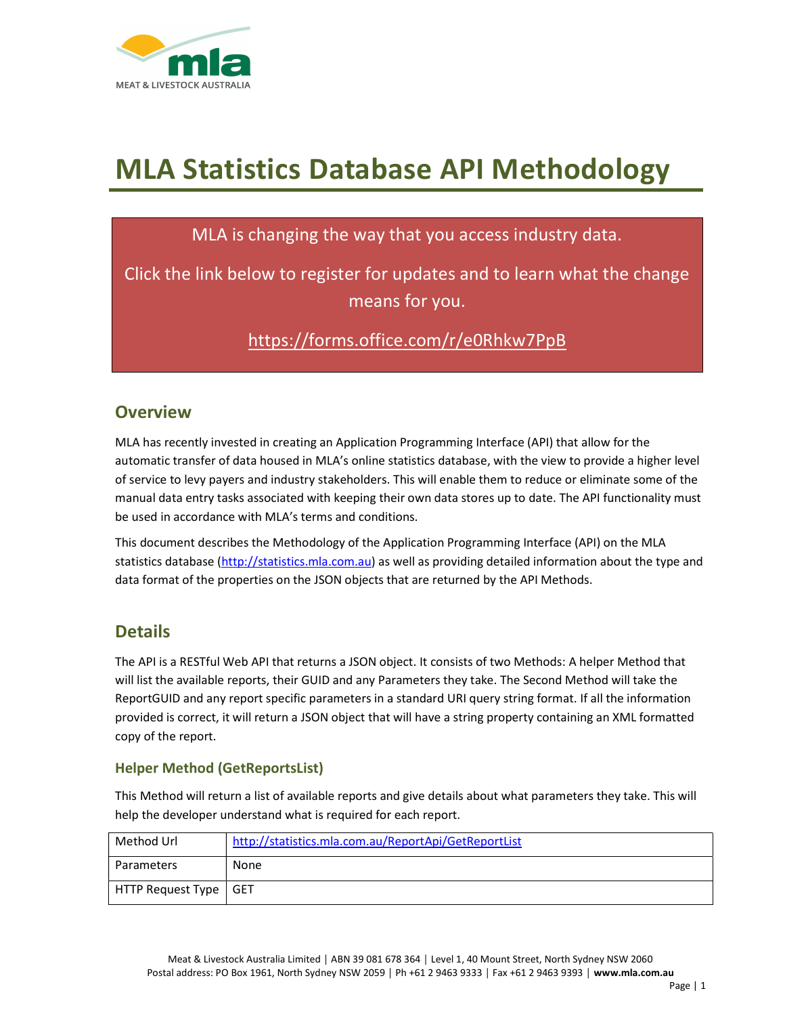

# MLA Statistics Database API Methodology

# MLA is changing the way that you access industry data.

Click the link below to register for updates and to learn what the change means for you.

https://forms.office.com/r/e0Rhkw7PpB

# **Overview**

MLA has recently invested in creating an Application Programming Interface (API) that allow for the automatic transfer of data housed in MLA's online statistics database, with the view to provide a higher level of service to levy payers and industry stakeholders. This will enable them to reduce or eliminate some of the manual data entry tasks associated with keeping their own data stores up to date. The API functionality must be used in accordance with MLA's terms and conditions.

This document describes the Methodology of the Application Programming Interface (API) on the MLA statistics database (http://statistics.mla.com.au) as well as providing detailed information about the type and data format of the properties on the JSON objects that are returned by the API Methods.

# **Details**

The API is a RESTful Web API that returns a JSON object. It consists of two Methods: A helper Method that will list the available reports, their GUID and any Parameters they take. The Second Method will take the ReportGUID and any report specific parameters in a standard URI query string format. If all the information provided is correct, it will return a JSON object that will have a string property containing an XML formatted copy of the report.

### Helper Method (GetReportsList)

This Method will return a list of available reports and give details about what parameters they take. This will help the developer understand what is required for each report.

| Method Url              | http://statistics.mla.com.au/ReportApi/GetReportList |
|-------------------------|------------------------------------------------------|
| Parameters              | None                                                 |
| HTTP Request Type   GET |                                                      |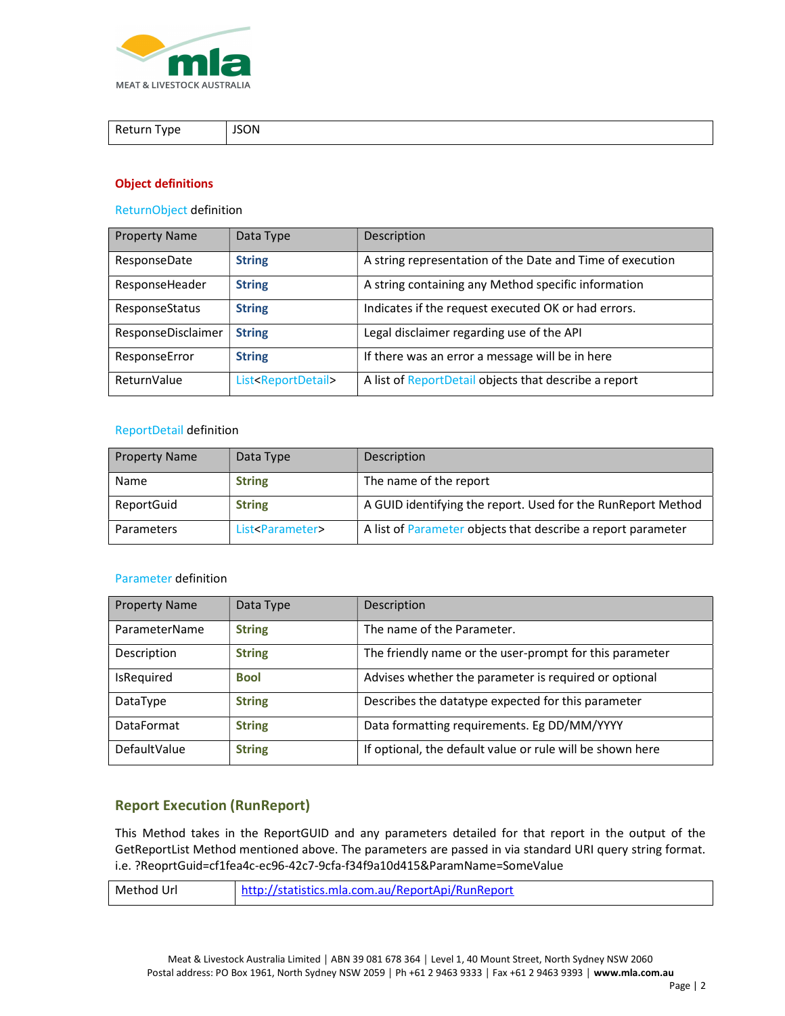

| Return Type | <b>JSON</b> |
|-------------|-------------|

### Object definitions

#### ReturnObject definition

| <b>Property Name</b> | Data Type                          | Description                                               |
|----------------------|------------------------------------|-----------------------------------------------------------|
| ResponseDate         | <b>String</b>                      | A string representation of the Date and Time of execution |
| ResponseHeader       | <b>String</b>                      | A string containing any Method specific information       |
| ResponseStatus       | <b>String</b>                      | Indicates if the request executed OK or had errors.       |
| ResponseDisclaimer   | <b>String</b>                      | Legal disclaimer regarding use of the API                 |
| ResponseError        | <b>String</b>                      | If there was an error a message will be in here           |
| ReturnValue          | List <reportdetail></reportdetail> | A list of ReportDetail objects that describe a report     |

#### ReportDetail definition

| <b>Property Name</b> | Data Type                    | Description                                                  |
|----------------------|------------------------------|--------------------------------------------------------------|
| Name                 | <b>String</b>                | The name of the report                                       |
| ReportGuid           | <b>String</b>                | A GUID identifying the report. Used for the RunReport Method |
| Parameters           | List <parameter></parameter> | A list of Parameter objects that describe a report parameter |

### Parameter definition

| <b>Property Name</b> | Data Type     | Description                                               |
|----------------------|---------------|-----------------------------------------------------------|
| ParameterName        | <b>String</b> | The name of the Parameter.                                |
| Description          | <b>String</b> | The friendly name or the user-prompt for this parameter   |
| IsRequired           | <b>Bool</b>   | Advises whether the parameter is required or optional     |
| DataType             | <b>String</b> | Describes the datatype expected for this parameter        |
| <b>DataFormat</b>    | <b>String</b> | Data formatting requirements. Eg DD/MM/YYYY               |
| DefaultValue         | <b>String</b> | If optional, the default value or rule will be shown here |

## Report Execution (RunReport)

This Method takes in the ReportGUID and any parameters detailed for that report in the output of the GetReportList Method mentioned above. The parameters are passed in via standard URI query string format. i.e. ?ReoprtGuid=cf1fea4c-ec96-42c7-9cfa-f34f9a10d415&ParamName=SomeValue

| Url<br>Method | http://statistics.mla.com.au/ReportApi/RunReport |
|---------------|--------------------------------------------------|
|               |                                                  |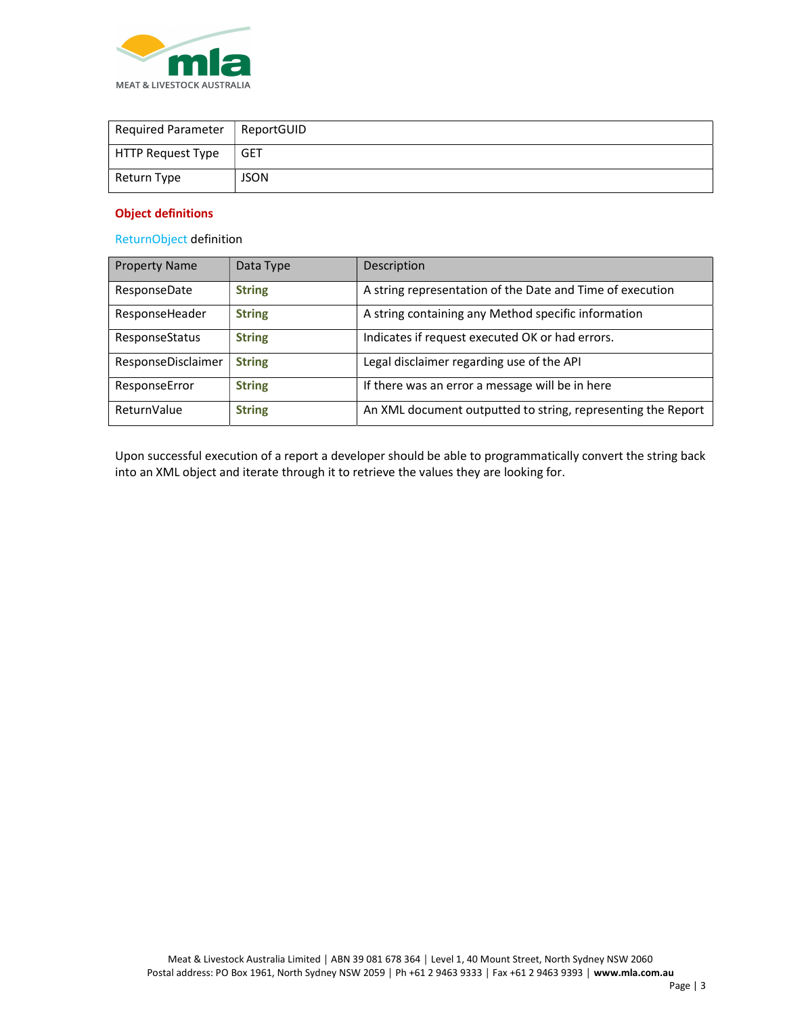

| <b>Required Parameter</b> | ReportGUID |
|---------------------------|------------|
| HTTP Request Type         | <b>GET</b> |
| Return Type               | JSON       |

### Object definitions

ReturnObject definition

| <b>Property Name</b> | Data Type     | Description                                                  |
|----------------------|---------------|--------------------------------------------------------------|
| ResponseDate         | <b>String</b> | A string representation of the Date and Time of execution    |
| ResponseHeader       | <b>String</b> | A string containing any Method specific information          |
| ResponseStatus       | <b>String</b> | Indicates if request executed OK or had errors.              |
| ResponseDisclaimer   | <b>String</b> | Legal disclaimer regarding use of the API                    |
| ResponseError        | <b>String</b> | If there was an error a message will be in here              |
| ReturnValue          | <b>String</b> | An XML document outputted to string, representing the Report |

Upon successful execution of a report a developer should be able to programmatically convert the string back into an XML object and iterate through it to retrieve the values they are looking for.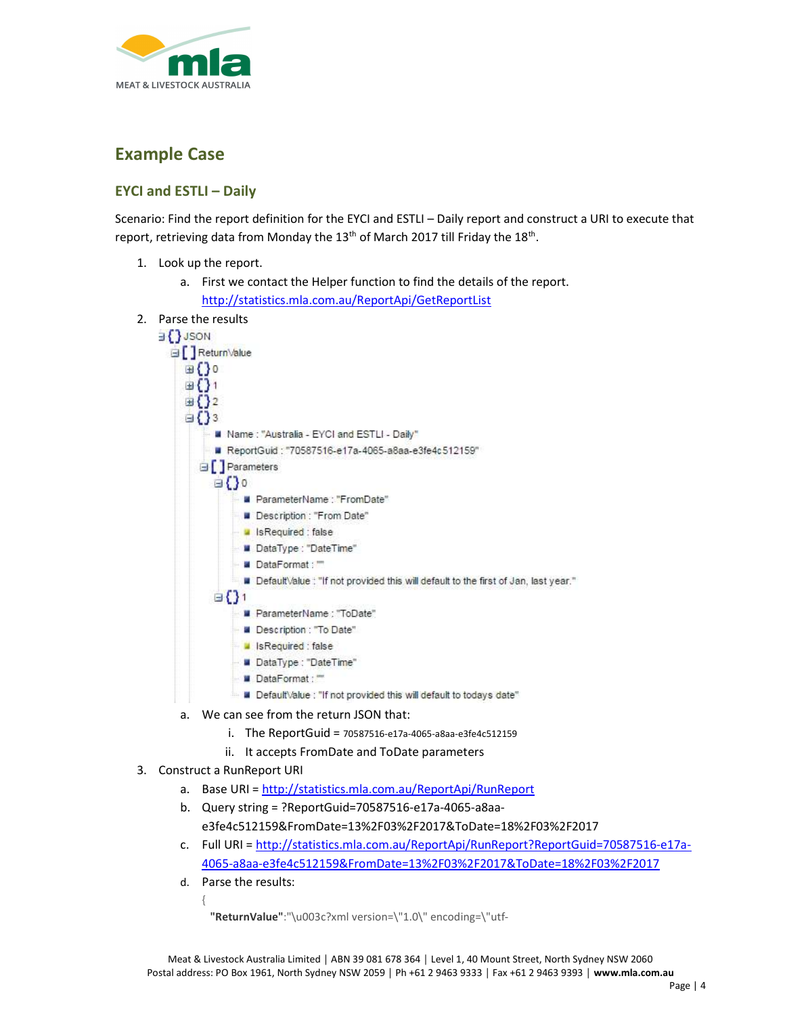

# Example Case

## EYCI and ESTLI – Daily

Scenario: Find the report definition for the EYCI and ESTLI – Daily report and construct a URI to execute that report, retrieving data from Monday the 13<sup>th</sup> of March 2017 till Friday the 18<sup>th</sup>.

- 1. Look up the report.
	- a. First we contact the Helper function to find the details of the report. http://statistics.mla.com.au/ReportApi/GetReportList
- 2. Parse the results



- a. We can see from the return JSON that:
	- i. The ReportGuid = 70587516-e17a-4065-a8aa-e3fe4c512159
	- ii. It accepts FromDate and ToDate parameters

### 3. Construct a RunReport URI

- a. Base URI = http://statistics.mla.com.au/ReportApi/RunReport
- b. Query string = ?ReportGuid=70587516-e17a-4065-a8aae3fe4c512159&FromDate=13%2F03%2F2017&ToDate=18%2F03%2F2017
- c. Full URI = http://statistics.mla.com.au/ReportApi/RunReport?ReportGuid=70587516-e17a-4065-a8aa-e3fe4c512159&FromDate=13%2F03%2F2017&ToDate=18%2F03%2F2017
- d. Parse the results:

```
{ 
"ReturnValue":"\u003c?xml version=\"1.0\" encoding=\"utf-
```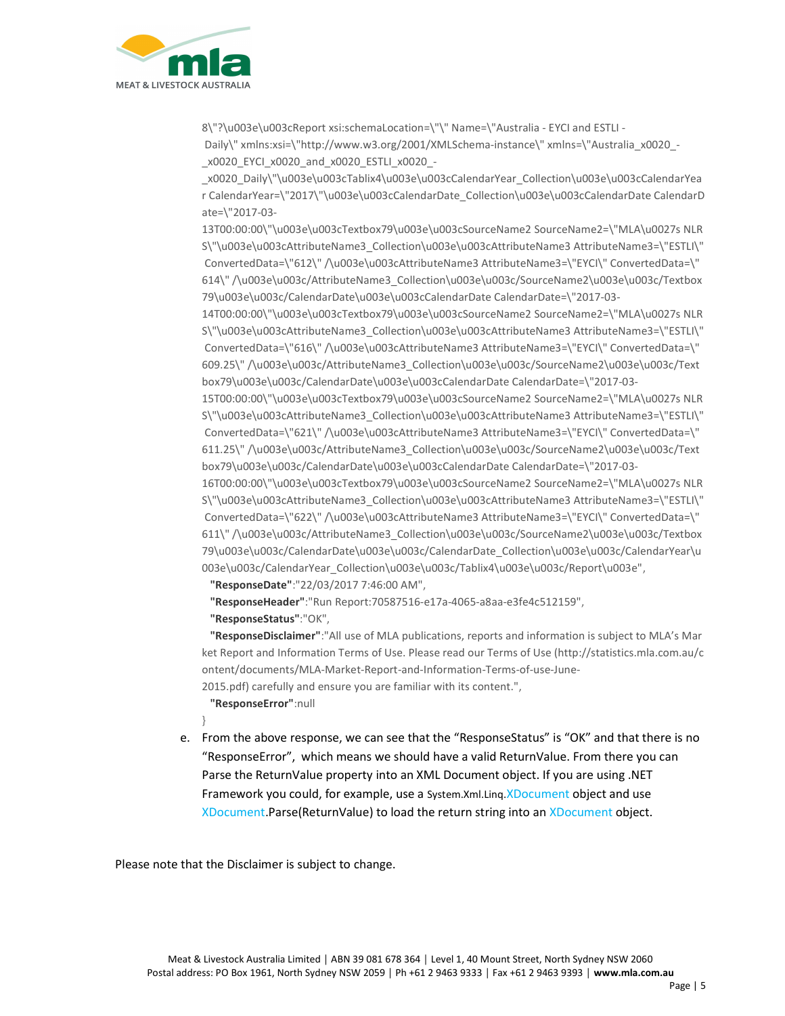

8\"?\u003e\u003cReport xsi:schemaLocation=\"\" Name=\"Australia - EYCI and ESTLI - Daily\" xmlns:xsi=\"http://www.w3.org/2001/XMLSchema-instance\" xmlns=\"Australia\_x0020\_-\_x0020\_EYCI\_x0020\_and\_x0020\_ESTLI\_x0020\_-

\_x0020\_Daily\"\u003e\u003cTablix4\u003e\u003cCalendarYear\_Collection\u003e\u003cCalendarYea r CalendarYear=\"2017\"\u003e\u003cCalendarDate\_Collection\u003e\u003cCalendarDate CalendarD ate=\"2017-03-

13T00:00:00\"\u003e\u003cTextbox79\u003e\u003cSourceName2 SourceName2=\"MLA\u0027s NLR S\"\u003e\u003cAttributeName3\_Collection\u003e\u003cAttributeName3 AttributeName3=\"ESTLI\" ConvertedData=\"612\" /\u003e\u003cAttributeName3 AttributeName3=\"EYCI\" ConvertedData=\" 614\" /\u003e\u003c/AttributeName3\_Collection\u003e\u003c/SourceName2\u003e\u003c/Textbox 79\u003e\u003c/CalendarDate\u003e\u003cCalendarDate CalendarDate=\"2017-03-

14T00:00:00\"\u003e\u003cTextbox79\u003e\u003cSourceName2 SourceName2=\"MLA\u0027s NLR S\"\u003e\u003cAttributeName3\_Collection\u003e\u003cAttributeName3 AttributeName3=\"ESTLI\" ConvertedData=\"616\" /\u003e\u003cAttributeName3 AttributeName3=\"EYCI\" ConvertedData=\" 609.25\" /\u003e\u003c/AttributeName3\_Collection\u003e\u003c/SourceName2\u003e\u003c/Text box79\u003e\u003c/CalendarDate\u003e\u003cCalendarDate CalendarDate=\"2017-03-

15T00:00:00\"\u003e\u003cTextbox79\u003e\u003cSourceName2 SourceName2=\"MLA\u0027s NLR S\"\u003e\u003cAttributeName3\_Collection\u003e\u003cAttributeName3 AttributeName3=\"ESTLI\" ConvertedData=\"621\" /\u003e\u003cAttributeName3 AttributeName3=\"EYCI\" ConvertedData=\" 611.25\" /\u003e\u003c/AttributeName3\_Collection\u003e\u003c/SourceName2\u003e\u003c/Text box79\u003e\u003c/CalendarDate\u003e\u003cCalendarDate CalendarDate=\"2017-03-

16T00:00:00\"\u003e\u003cTextbox79\u003e\u003cSourceName2 SourceName2=\"MLA\u0027s NLR S\"\u003e\u003cAttributeName3\_Collection\u003e\u003cAttributeName3 AttributeName3=\"ESTLI\" ConvertedData=\"622\" /\u003e\u003cAttributeName3 AttributeName3=\"EYCI\" ConvertedData=\" 611\" /\u003e\u003c/AttributeName3\_Collection\u003e\u003c/SourceName2\u003e\u003c/Textbox 79\u003e\u003c/CalendarDate\u003e\u003c/CalendarDate\_Collection\u003e\u003c/CalendarYear\u 003e\u003c/CalendarYear\_Collection\u003e\u003c/Tablix4\u003e\u003c/Report\u003e",

"ResponseDate":"22/03/2017 7:46:00 AM",

"ResponseHeader":"Run Report:70587516-e17a-4065-a8aa-e3fe4c512159",

"ResponseStatus":"OK",

 "ResponseDisclaimer":"All use of MLA publications, reports and information is subject to MLA's Mar ket Report and Information Terms of Use. Please read our Terms of Use (http://statistics.mla.com.au/c ontent/documents/MLA-Market-Report-and-Information-Terms-of-use-June-

2015.pdf) carefully and ensure you are familiar with its content.",

"ResponseError":null

}

e. From the above response, we can see that the "ResponseStatus" is "OK" and that there is no "ResponseError", which means we should have a valid ReturnValue. From there you can Parse the ReturnValue property into an XML Document object. If you are using .NET Framework you could, for example, use a System.Xml.Linq.XDocument object and use XDocument.Parse(ReturnValue) to load the return string into an XDocument object.

Please note that the Disclaimer is subject to change.